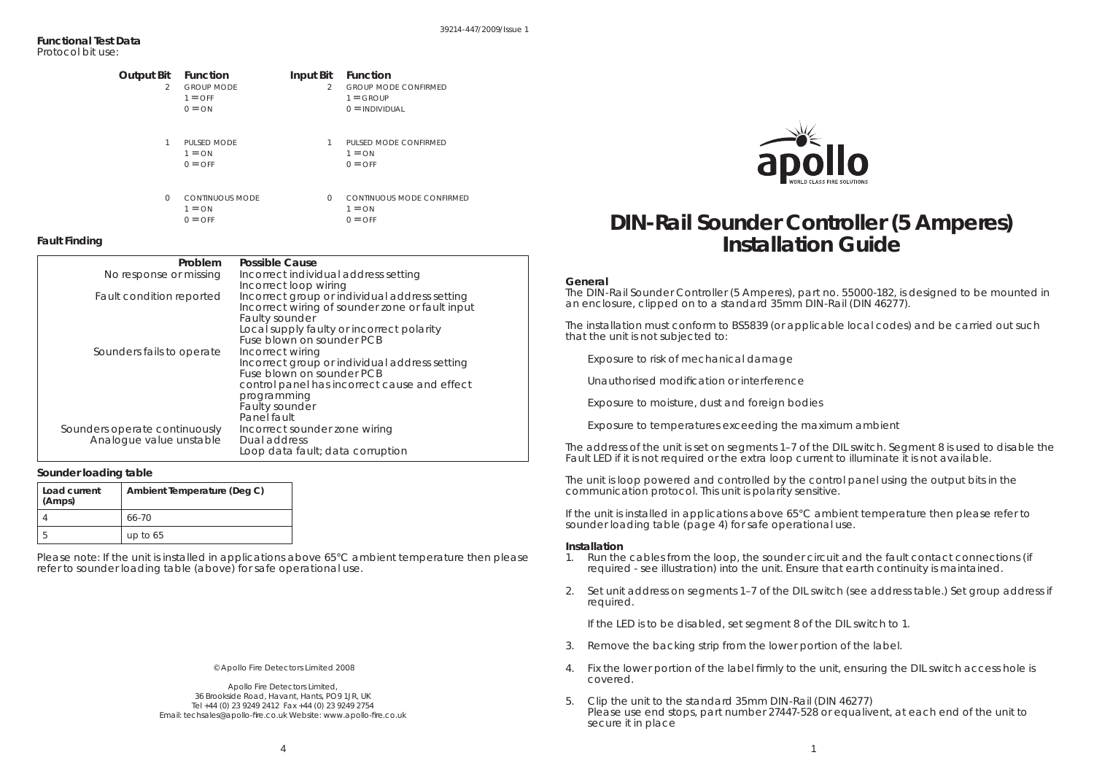#### **Functional Test Data**Protocol bit use:

| 2        | <b>Output Bit</b> Function<br><b>GROUP MODE</b><br>$1 =$ OFF<br>$0 = ON$ | $\mathfrak{D}$ | Input Bit Function<br><b>GROUP MODE CONFIRMED</b><br>$1 = GROUP$<br>$0 = INDIVIDUAL$ |  |  |
|----------|--------------------------------------------------------------------------|----------------|--------------------------------------------------------------------------------------|--|--|
| 1        | PULSED MODE<br>$1 = ON$<br>$0 =$ OFF                                     | 1              | PULSED MODE CONFIRMED<br>$1 = ON$<br>$0 =$ OFF                                       |  |  |
| $\Omega$ | <b>CONTINUOUS MODE</b><br>$1 = ON$<br>$0 =$ OFF                          | $\Omega$       | CONTINUOUS MODE CONFIRMED<br>$1 = ON$<br>$0 =$ OFF                                   |  |  |

## **Fault Finding**

| Problem                       | <b>Possible Cause</b>                                                      |
|-------------------------------|----------------------------------------------------------------------------|
| No response or missing        | Incorrect individual address setting                                       |
|                               | Incorrect loop wiring                                                      |
| Fault condition reported      | Incorrect group or individual address setting                              |
|                               | Incorrect wiring of sounder zone or fault input                            |
|                               | Faulty sounder                                                             |
|                               | Local supply faulty or incorrect polarity                                  |
|                               | Fuse blown on sounder PCB                                                  |
| Sounders fails to operate     | Incorrect wiring                                                           |
|                               | Incorrect group or individual address setting<br>Euse blown on sounder PCB |
|                               | control panel has incorrect cause and effect                               |
|                               | programming                                                                |
|                               | Faulty sounder                                                             |
|                               | Panel fault                                                                |
| Sounders operate continuously | Incorrect sounder zone wiring                                              |
| Analogue value unstable       | Dual address                                                               |
|                               | Loop data fault; data corruption                                           |

#### **Sounder loading table**

| Load current<br>(Amps) | Ambient Temperature (Deg C) |
|------------------------|-----------------------------|
|                        | $66 - 70$                   |
| 5                      | up to $65$                  |

*Please note: If the unit is installed in applications above 65°C ambient temperature then please refer to sounder loading table (above) for safe operational use.*

© Apollo Fire Detectors Limited 2008

Apollo Fire Detectors Limited, 36 Brookside Road, Havant, Hants, PO9 1JR, UK Tel +44 (0) 23 9249 2412 Fax +44 (0) 23 9249 2754 Email: techsales@apollo-fire.co.uk Website: www.apollo-fire.co.uk



# **DIN-Rail Sounder Controller (5 Amperes) Installation Guide**

#### **General**

 The DIN-Rail Sounder Controller (5 Amperes), part no. 55000-182, is designed to be mounted in an enclosure, clipped on to a standard 35mm DIN-Rail (DIN 46277).

The installation must conform to BS5839 (or applicable local codes) and be carried out such that the unit is not subjected to:

Exposure to risk of mechanical damage

Unauthorised modification or interference

Exposure to moisture, dust and foreign bodies

Exposure to temperatures exceeding the maximum ambient

The address of the unit is set on segments 1–7 of the DIL switch. Segment 8 is used to disable the Fault LED if it is not required or the extra loop current to illuminate it is not available.

The unit is loop powered and controlled by the control panel using the output bits in the communication protocol. This unit is polarity sensitive.

If the unit is installed in applications above 65°C ambient temperature then please refer to sounder loading table (page 4) for safe operational use.

#### **Installation**

- 1. Run the cables from the loop, the sounder circuit and the fault contact connections (if required - see illustration) into the unit. Ensure that earth continuity is maintained.
- 2. Set unit address on segments 1–7 of the DIL switch (see address table.) Set group address if required.

If the LED is to be disabled, set segment 8 of the DIL switch to 1.

- 3. Remove the backing strip from the lower portion of the label.
- 4. Fix the lower portion of the label firmly to the unit, ensuring the DIL switch access hole is covered.
- 5. Clip the unit to the standard 35mm DIN-Rail (DIN 46277) Please use end stops, part number 27447-528 or equalivent, at each end of the unit to secure it in place